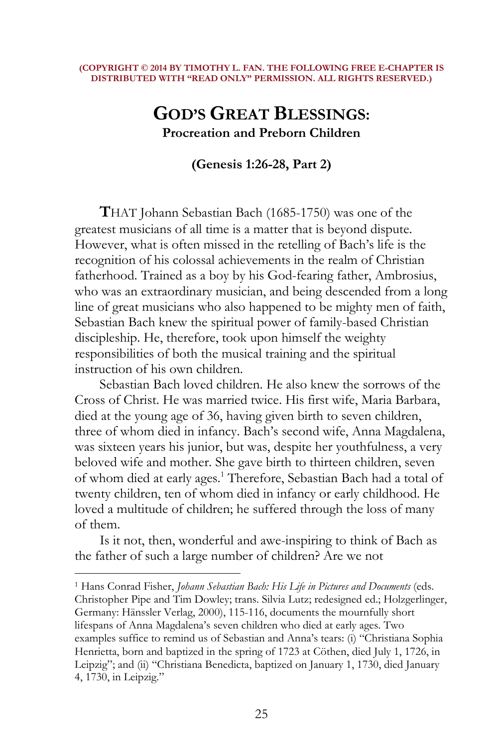#### **(COPYRIGHT © 2014 BY TIMOTHY L. FAN. THE FOLLOWING FREE E-CHAPTER IS DISTRIBUTED WITH "READ ONLY" PERMISSION. ALL RIGHTS RESERVED.)**

# **GOD'S GREAT BLESSINGS: Procreation and Preborn Children**

**(Genesis 1:26-28, Part 2)** 

**T**HAT Johann Sebastian Bach (1685-1750) was one of the greatest musicians of all time is a matter that is beyond dispute. However, what is often missed in the retelling of Bach's life is the recognition of his colossal achievements in the realm of Christian fatherhood. Trained as a boy by his God-fearing father, Ambrosius, who was an extraordinary musician, and being descended from a long line of great musicians who also happened to be mighty men of faith, Sebastian Bach knew the spiritual power of family-based Christian discipleship. He, therefore, took upon himself the weighty responsibilities of both the musical training and the spiritual instruction of his own children.

Sebastian Bach loved children. He also knew the sorrows of the Cross of Christ. He was married twice. His first wife, Maria Barbara, died at the young age of 36, having given birth to seven children, three of whom died in infancy. Bach's second wife, Anna Magdalena, was sixteen years his junior, but was, despite her youthfulness, a very beloved wife and mother. She gave birth to thirteen children, seven of whom died at early ages.<sup>1</sup> Therefore, Sebastian Bach had a total of twenty children, ten of whom died in infancy or early childhood. He loved a multitude of children; he suffered through the loss of many of them.

Is it not, then, wonderful and awe-inspiring to think of Bach as the father of such a large number of children? Are we not

 $\overline{a}$ 

1 Hans Conrad Fisher, *Johann Sebastian Bach: His Life in Pictures and Documents* (eds. Christopher Pipe and Tim Dowley; trans. Silvia Lutz; redesigned ed.; Holzgerlinger, Germany: Hänssler Verlag, 2000), 115-116, documents the mournfully short lifespans of Anna Magdalena's seven children who died at early ages. Two examples suffice to remind us of Sebastian and Anna's tears: (i) "Christiana Sophia Henrietta, born and baptized in the spring of 1723 at Cöthen, died July 1, 1726, in Leipzig"; and (ii) "Christiana Benedicta, baptized on January 1, 1730, died January 4, 1730, in Leipzig."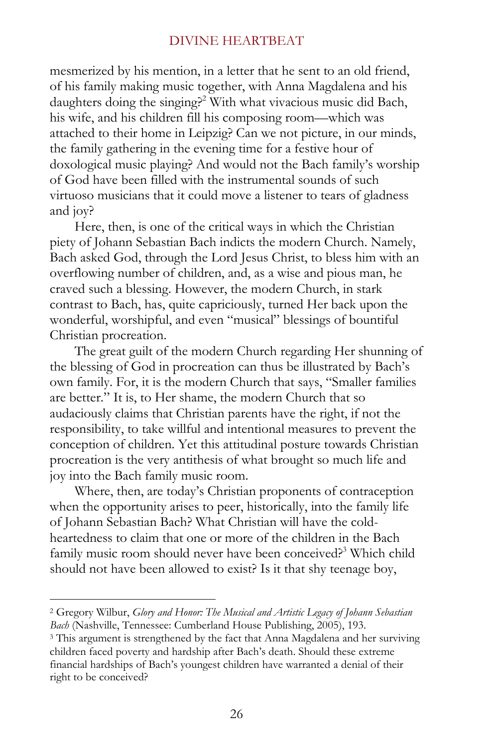mesmerized by his mention, in a letter that he sent to an old friend, of his family making music together, with Anna Magdalena and his daughters doing the singing?<sup>2</sup> With what vivacious music did Bach, his wife, and his children fill his composing room—which was attached to their home in Leipzig? Can we not picture, in our minds, the family gathering in the evening time for a festive hour of doxological music playing? And would not the Bach family's worship of God have been filled with the instrumental sounds of such virtuoso musicians that it could move a listener to tears of gladness and joy?

Here, then, is one of the critical ways in which the Christian piety of Johann Sebastian Bach indicts the modern Church. Namely, Bach asked God, through the Lord Jesus Christ, to bless him with an overflowing number of children, and, as a wise and pious man, he craved such a blessing. However, the modern Church, in stark contrast to Bach, has, quite capriciously, turned Her back upon the wonderful, worshipful, and even "musical" blessings of bountiful Christian procreation.

The great guilt of the modern Church regarding Her shunning of the blessing of God in procreation can thus be illustrated by Bach's own family. For, it is the modern Church that says, "Smaller families are better." It is, to Her shame, the modern Church that so audaciously claims that Christian parents have the right, if not the responsibility, to take willful and intentional measures to prevent the conception of children. Yet this attitudinal posture towards Christian procreation is the very antithesis of what brought so much life and joy into the Bach family music room.

Where, then, are today's Christian proponents of contraception when the opportunity arises to peer, historically, into the family life of Johann Sebastian Bach? What Christian will have the coldheartedness to claim that one or more of the children in the Bach family music room should never have been conceived?<sup>3</sup> Which child should not have been allowed to exist? Is it that shy teenage boy,

<sup>2</sup> Gregory Wilbur, *Glory and Honor: The Musical and Artistic Legacy of Johann Sebastian Bach* (Nashville, Tennessee: Cumberland House Publishing, 2005), 193.

<sup>&</sup>lt;sup>3</sup> This argument is strengthened by the fact that Anna Magdalena and her surviving children faced poverty and hardship after Bach's death. Should these extreme financial hardships of Bach's youngest children have warranted a denial of their right to be conceived?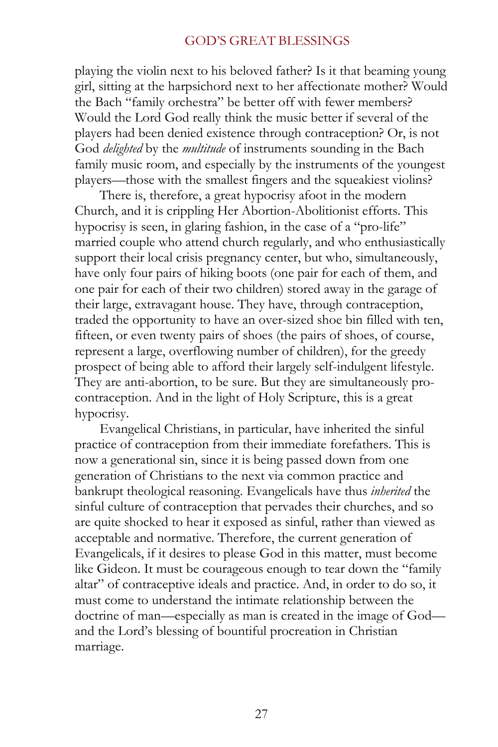playing the violin next to his beloved father? Is it that beaming young girl, sitting at the harpsichord next to her affectionate mother? Would the Bach "family orchestra" be better off with fewer members? Would the Lord God really think the music better if several of the players had been denied existence through contraception? Or, is not God *delighted* by the *multitude* of instruments sounding in the Bach family music room, and especially by the instruments of the youngest players—those with the smallest fingers and the squeakiest violins?

There is, therefore, a great hypocrisy afoot in the modern Church, and it is crippling Her Abortion-Abolitionist efforts. This hypocrisy is seen, in glaring fashion, in the case of a "pro-life" married couple who attend church regularly, and who enthusiastically support their local crisis pregnancy center, but who, simultaneously, have only four pairs of hiking boots (one pair for each of them, and one pair for each of their two children) stored away in the garage of their large, extravagant house. They have, through contraception, traded the opportunity to have an over-sized shoe bin filled with ten, fifteen, or even twenty pairs of shoes (the pairs of shoes, of course, represent a large, overflowing number of children), for the greedy prospect of being able to afford their largely self-indulgent lifestyle. They are anti-abortion, to be sure. But they are simultaneously procontraception. And in the light of Holy Scripture, this is a great hypocrisy.

Evangelical Christians, in particular, have inherited the sinful practice of contraception from their immediate forefathers. This is now a generational sin, since it is being passed down from one generation of Christians to the next via common practice and bankrupt theological reasoning. Evangelicals have thus *inherited* the sinful culture of contraception that pervades their churches, and so are quite shocked to hear it exposed as sinful, rather than viewed as acceptable and normative. Therefore, the current generation of Evangelicals, if it desires to please God in this matter, must become like Gideon. It must be courageous enough to tear down the "family altar" of contraceptive ideals and practice. And, in order to do so, it must come to understand the intimate relationship between the doctrine of man—especially as man is created in the image of God and the Lord's blessing of bountiful procreation in Christian marriage.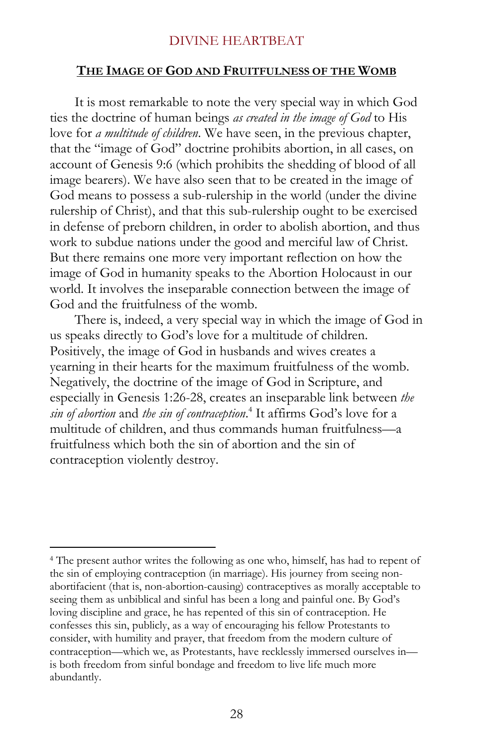#### **THE IMAGE OF GOD AND FRUITFULNESS OF THE WOMB**

It is most remarkable to note the very special way in which God ties the doctrine of human beings *as created in the image of God* to His love for *a multitude of children*. We have seen, in the previous chapter, that the "image of God" doctrine prohibits abortion, in all cases, on account of Genesis 9:6 (which prohibits the shedding of blood of all image bearers). We have also seen that to be created in the image of God means to possess a sub-rulership in the world (under the divine rulership of Christ), and that this sub-rulership ought to be exercised in defense of preborn children, in order to abolish abortion, and thus work to subdue nations under the good and merciful law of Christ. But there remains one more very important reflection on how the image of God in humanity speaks to the Abortion Holocaust in our world. It involves the inseparable connection between the image of God and the fruitfulness of the womb.

There is, indeed, a very special way in which the image of God in us speaks directly to God's love for a multitude of children. Positively, the image of God in husbands and wives creates a yearning in their hearts for the maximum fruitfulness of the womb. Negatively, the doctrine of the image of God in Scripture, and especially in Genesis 1:26-28, creates an inseparable link between *the sin of abortion* and *the sin of contraception*. 4 It affirms God's love for a multitude of children, and thus commands human fruitfulness—a fruitfulness which both the sin of abortion and the sin of contraception violently destroy.

<sup>&</sup>lt;sup>4</sup> The present author writes the following as one who, himself, has had to repent of the sin of employing contraception (in marriage). His journey from seeing nonabortifacient (that is, non-abortion-causing) contraceptives as morally acceptable to seeing them as unbiblical and sinful has been a long and painful one. By God's loving discipline and grace, he has repented of this sin of contraception. He confesses this sin, publicly, as a way of encouraging his fellow Protestants to consider, with humility and prayer, that freedom from the modern culture of contraception—which we, as Protestants, have recklessly immersed ourselves in is both freedom from sinful bondage and freedom to live life much more abundantly.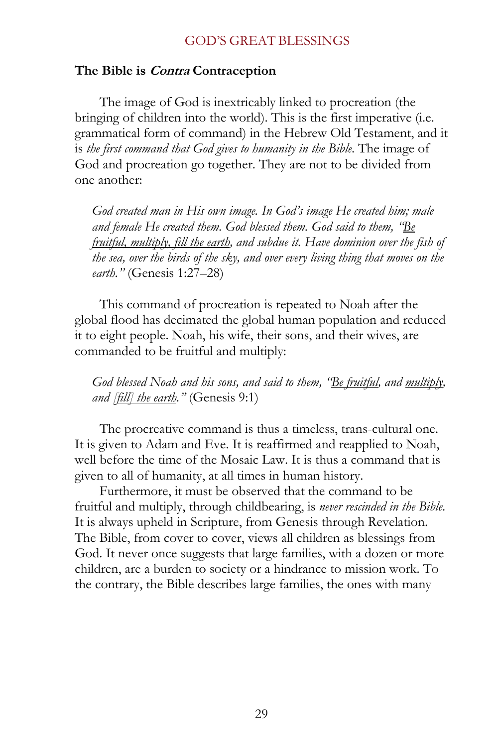#### **The Bible is Contra Contraception**

The image of God is inextricably linked to procreation (the bringing of children into the world). This is the first imperative (i.e. grammatical form of command) in the Hebrew Old Testament, and it is *the first command that God gives to humanity in the Bible*. The image of God and procreation go together. They are not to be divided from one another:

*God created man in His own image. In God's image He created him; male and female He created them. God blessed them. God said to them, "Be fruitful, multiply, fill the earth, and subdue it. Have dominion over the fish of the sea, over the birds of the sky, and over every living thing that moves on the earth."* (Genesis 1:27–28)

This command of procreation is repeated to Noah after the global flood has decimated the global human population and reduced it to eight people. Noah, his wife, their sons, and their wives, are commanded to be fruitful and multiply:

*God blessed Noah and his sons, and said to them, "Be fruitful, and multiply, and [fill] the earth."* (Genesis 9:1)

The procreative command is thus a timeless, trans-cultural one. It is given to Adam and Eve. It is reaffirmed and reapplied to Noah, well before the time of the Mosaic Law. It is thus a command that is given to all of humanity, at all times in human history.

Furthermore, it must be observed that the command to be fruitful and multiply, through childbearing, is *never rescinded in the Bible*. It is always upheld in Scripture, from Genesis through Revelation. The Bible, from cover to cover, views all children as blessings from God. It never once suggests that large families, with a dozen or more children, are a burden to society or a hindrance to mission work. To the contrary, the Bible describes large families, the ones with many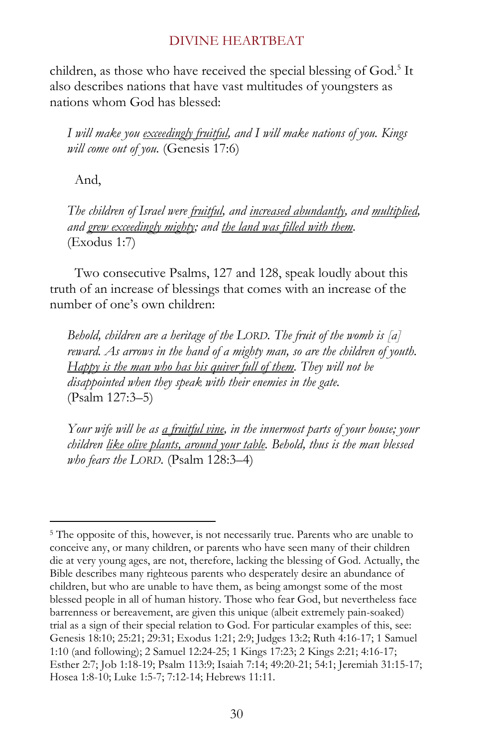children, as those who have received the special blessing of God.<sup>5</sup> It also describes nations that have vast multitudes of youngsters as nations whom God has blessed:

*I will make you exceedingly fruitful, and I will make nations of you. Kings will come out of you.* (Genesis 17:6)

And,

 $\overline{a}$ 

*The children of Israel were fruitful, and increased abundantly, and multiplied, and grew exceedingly mighty; and the land was filled with them.* (Exodus 1:7)

Two consecutive Psalms, 127 and 128, speak loudly about this truth of an increase of blessings that comes with an increase of the number of one's own children:

*Behold, children are a heritage of the LORD. The fruit of the womb is [a] reward. As arrows in the hand of a mighty man, so are the children of youth. Happy is the man who has his quiver full of them. They will not be disappointed when they speak with their enemies in the gate.*  (Psalm 127:3–5)

*Your wife will be as a fruitful vine, in the innermost parts of your house; your children like olive plants, around your table. Behold, thus is the man blessed who fears the LORD.* (Psalm 128:3–4)

<sup>&</sup>lt;sup>5</sup> The opposite of this, however, is not necessarily true. Parents who are unable to conceive any, or many children, or parents who have seen many of their children die at very young ages, are not, therefore, lacking the blessing of God. Actually, the Bible describes many righteous parents who desperately desire an abundance of children, but who are unable to have them, as being amongst some of the most blessed people in all of human history. Those who fear God, but nevertheless face barrenness or bereavement, are given this unique (albeit extremely pain-soaked) trial as a sign of their special relation to God. For particular examples of this, see: Genesis 18:10; 25:21; 29:31; Exodus 1:21; 2:9; Judges 13:2; Ruth 4:16-17; 1 Samuel 1:10 (and following); 2 Samuel 12:24-25; 1 Kings 17:23; 2 Kings 2:21; 4:16-17; Esther 2:7; Job 1:18-19; Psalm 113:9; Isaiah 7:14; 49:20-21; 54:1; Jeremiah 31:15-17; Hosea 1:8-10; Luke 1:5-7; 7:12-14; Hebrews 11:11.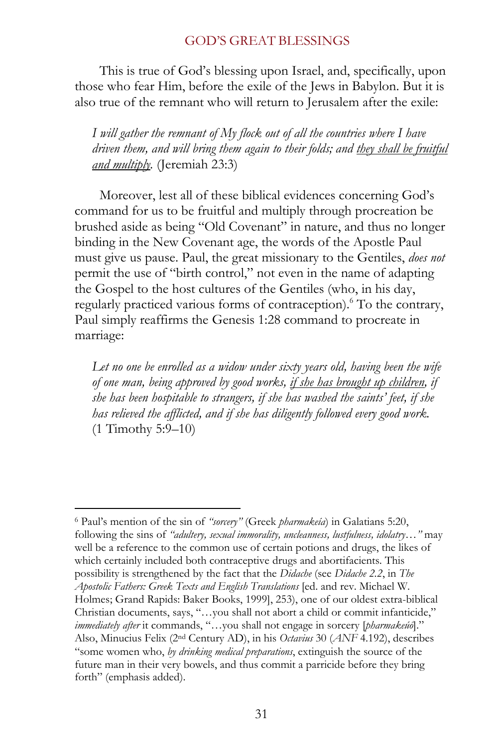This is true of God's blessing upon Israel, and, specifically, upon those who fear Him, before the exile of the Jews in Babylon. But it is also true of the remnant who will return to Jerusalem after the exile:

*I will gather the remnant of My flock out of all the countries where I have driven them, and will bring them again to their folds; and they shall be fruitful and multiply.* (Jeremiah 23:3)

Moreover, lest all of these biblical evidences concerning God's command for us to be fruitful and multiply through procreation be brushed aside as being "Old Covenant" in nature, and thus no longer binding in the New Covenant age, the words of the Apostle Paul must give us pause. Paul, the great missionary to the Gentiles, *does not* permit the use of "birth control," not even in the name of adapting the Gospel to the host cultures of the Gentiles (who, in his day, regularly practiced various forms of contraception).<sup>6</sup> To the contrary, Paul simply reaffirms the Genesis 1:28 command to procreate in marriage:

Let no one be enrolled as a widow under sixty years old, having been the wife *of one man, being approved by good works, if she has brought up children, if she has been hospitable to strangers, if she has washed the saints' feet, if she has relieved the afflicted, and if she has diligently followed every good work.* (1 Timothy 5:9–10)

 $\overline{a}$ 6 Paul's mention of the sin of *"sorcery"* (Greek *pharmakeía*) in Galatians 5:20, following the sins of *"adultery, sexual immorality, uncleanness, lustfulness, idolatry…"* may well be a reference to the common use of certain potions and drugs, the likes of which certainly included both contraceptive drugs and abortifacients. This possibility is strengthened by the fact that the *Didache* (see *Didache 2.2*, in *The Apostolic Fathers: Greek Texts and English Translations* [ed. and rev. Michael W. Holmes; Grand Rapids: Baker Books, 1999], 253), one of our oldest extra-biblical Christian documents, says, "…you shall not abort a child or commit infanticide," *immediately after* it commands, "…you shall not engage in sorcery [*pharmakeúō*]." Also, Minucius Felix (2nd Century AD), in his *Octavius* 30 (*ANF* 4.192), describes "some women who, *by drinking medical preparations*, extinguish the source of the future man in their very bowels, and thus commit a parricide before they bring forth" (emphasis added).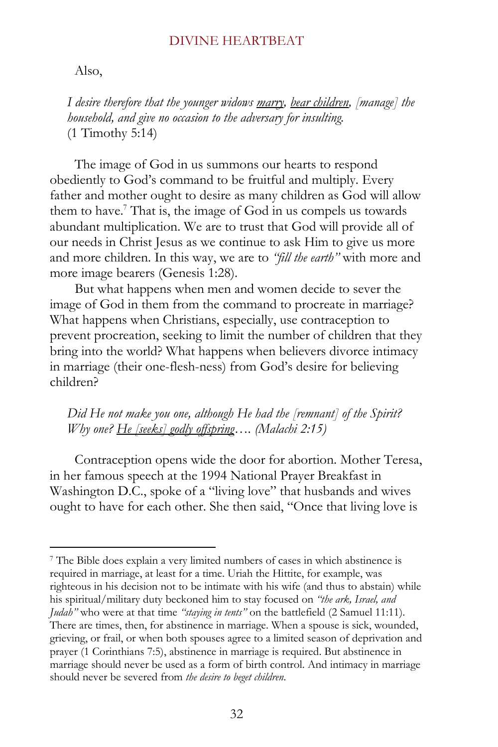#### Also,

 $\overline{a}$ 

*I desire therefore that the younger widows marry, bear children, [manage] the household, and give no occasion to the adversary for insulting.* (1 Timothy 5:14)

The image of God in us summons our hearts to respond obediently to God's command to be fruitful and multiply. Every father and mother ought to desire as many children as God will allow them to have.<sup>7</sup> That is, the image of God in us compels us towards abundant multiplication. We are to trust that God will provide all of our needs in Christ Jesus as we continue to ask Him to give us more and more children. In this way, we are to *"fill the earth"* with more and more image bearers (Genesis 1:28).

But what happens when men and women decide to sever the image of God in them from the command to procreate in marriage? What happens when Christians, especially, use contraception to prevent procreation, seeking to limit the number of children that they bring into the world? What happens when believers divorce intimacy in marriage (their one-flesh-ness) from God's desire for believing children?

*Did He not make you one, although He had the [remnant] of the Spirit? Why one? He [seeks] godly offspring…. (Malachi 2:15)* 

Contraception opens wide the door for abortion. Mother Teresa, in her famous speech at the 1994 National Prayer Breakfast in Washington D.C., spoke of a "living love" that husbands and wives ought to have for each other. She then said, "Once that living love is

<sup>7</sup> The Bible does explain a very limited numbers of cases in which abstinence is required in marriage, at least for a time. Uriah the Hittite, for example, was righteous in his decision not to be intimate with his wife (and thus to abstain) while his spiritual/military duty beckoned him to stay focused on *"the ark, Israel, and Judah"* who were at that time *"staying in tents"* on the battlefield (2 Samuel 11:11). There are times, then, for abstinence in marriage. When a spouse is sick, wounded, grieving, or frail, or when both spouses agree to a limited season of deprivation and prayer (1 Corinthians 7:5), abstinence in marriage is required. But abstinence in marriage should never be used as a form of birth control. And intimacy in marriage should never be severed from *the desire to beget children*.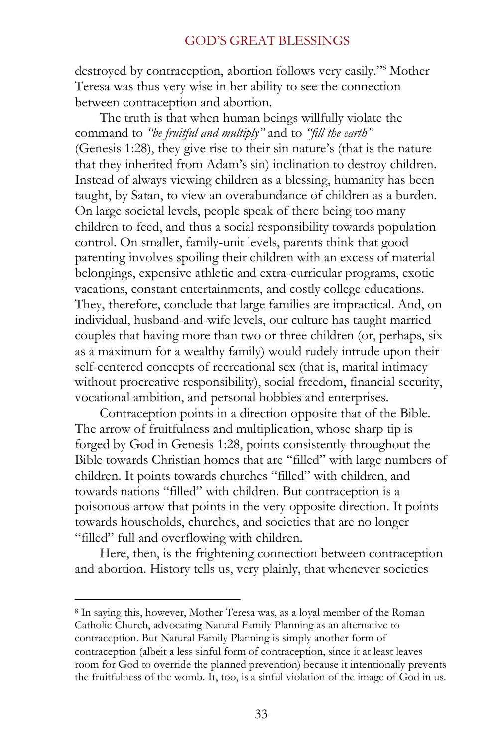destroyed by contraception, abortion follows very easily." 8 Mother Teresa was thus very wise in her ability to see the connection between contraception and abortion.

The truth is that when human beings willfully violate the command to *"be fruitful and multiply"* and to *"fill the earth"* (Genesis 1:28), they give rise to their sin nature's (that is the nature that they inherited from Adam's sin) inclination to destroy children. Instead of always viewing children as a blessing, humanity has been taught, by Satan, to view an overabundance of children as a burden. On large societal levels, people speak of there being too many children to feed, and thus a social responsibility towards population control. On smaller, family-unit levels, parents think that good parenting involves spoiling their children with an excess of material belongings, expensive athletic and extra-curricular programs, exotic vacations, constant entertainments, and costly college educations. They, therefore, conclude that large families are impractical. And, on individual, husband-and-wife levels, our culture has taught married couples that having more than two or three children (or, perhaps, six as a maximum for a wealthy family) would rudely intrude upon their self-centered concepts of recreational sex (that is, marital intimacy without procreative responsibility), social freedom, financial security, vocational ambition, and personal hobbies and enterprises.

Contraception points in a direction opposite that of the Bible. The arrow of fruitfulness and multiplication, whose sharp tip is forged by God in Genesis 1:28, points consistently throughout the Bible towards Christian homes that are "filled" with large numbers of children. It points towards churches "filled" with children, and towards nations "filled" with children. But contraception is a poisonous arrow that points in the very opposite direction. It points towards households, churches, and societies that are no longer "filled" full and overflowing with children.

Here, then, is the frightening connection between contraception and abortion. History tells us, very plainly, that whenever societies

<sup>8</sup> In saying this, however, Mother Teresa was, as a loyal member of the Roman Catholic Church, advocating Natural Family Planning as an alternative to contraception. But Natural Family Planning is simply another form of contraception (albeit a less sinful form of contraception, since it at least leaves room for God to override the planned prevention) because it intentionally prevents the fruitfulness of the womb. It, too, is a sinful violation of the image of God in us.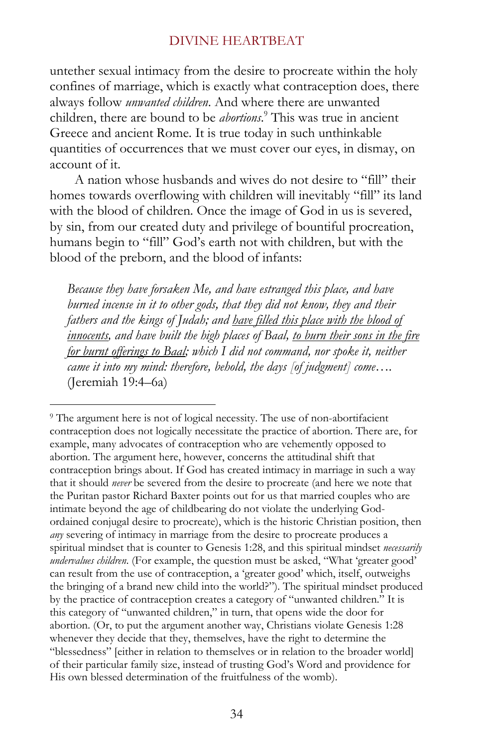untether sexual intimacy from the desire to procreate within the holy confines of marriage, which is exactly what contraception does, there always follow *unwanted children*. And where there are unwanted children, there are bound to be *abortions*. 9 This was true in ancient Greece and ancient Rome. It is true today in such unthinkable quantities of occurrences that we must cover our eyes, in dismay, on account of it.

A nation whose husbands and wives do not desire to "fill" their homes towards overflowing with children will inevitably "fill" its land with the blood of children. Once the image of God in us is severed, by sin, from our created duty and privilege of bountiful procreation, humans begin to "fill" God's earth not with children, but with the blood of the preborn, and the blood of infants:

*Because they have forsaken Me, and have estranged this place, and have burned incense in it to other gods, that they did not know, they and their fathers and the kings of Judah; and have filled this place with the blood of innocents, and have built the high places of Baal, to burn their sons in the fire for burnt offerings to Baal; which I did not command, nor spoke it, neither came it into my mind: therefore, behold, the days [of judgment] come….*  (Jeremiah 19:4–6a)

<sup>&</sup>lt;sup>9</sup> The argument here is not of logical necessity. The use of non-abortifacient contraception does not logically necessitate the practice of abortion. There are, for example, many advocates of contraception who are vehemently opposed to abortion. The argument here, however, concerns the attitudinal shift that contraception brings about. If God has created intimacy in marriage in such a way that it should *never* be severed from the desire to procreate (and here we note that the Puritan pastor Richard Baxter points out for us that married couples who are intimate beyond the age of childbearing do not violate the underlying Godordained conjugal desire to procreate), which is the historic Christian position, then *any* severing of intimacy in marriage from the desire to procreate produces a spiritual mindset that is counter to Genesis 1:28, and this spiritual mindset *necessarily undervalues children*. (For example, the question must be asked, "What 'greater good' can result from the use of contraception, a 'greater good' which, itself, outweighs the bringing of a brand new child into the world?"). The spiritual mindset produced by the practice of contraception creates a category of "unwanted children." It is this category of "unwanted children," in turn, that opens wide the door for abortion. (Or, to put the argument another way, Christians violate Genesis 1:28 whenever they decide that they, themselves, have the right to determine the "blessedness" [either in relation to themselves or in relation to the broader world] of their particular family size, instead of trusting God's Word and providence for His own blessed determination of the fruitfulness of the womb).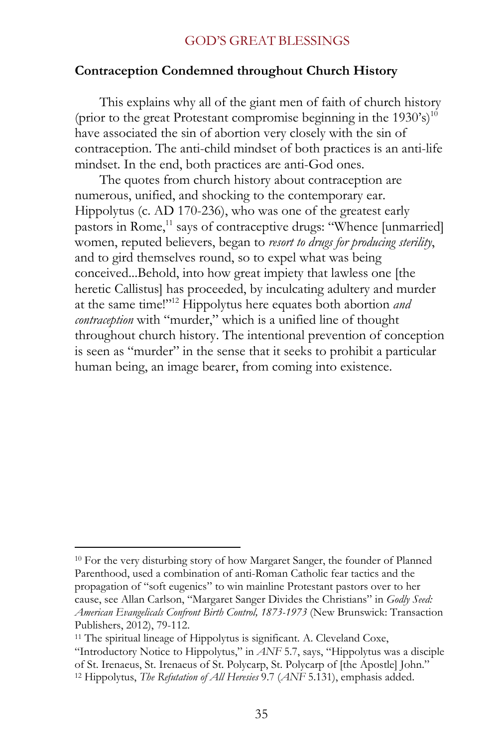## **Contraception Condemned throughout Church History**

This explains why all of the giant men of faith of church history (prior to the great Protestant compromise beginning in the  $1930's$ )<sup>10</sup> have associated the sin of abortion very closely with the sin of contraception. The anti-child mindset of both practices is an anti-life mindset. In the end, both practices are anti-God ones.

The quotes from church history about contraception are numerous, unified, and shocking to the contemporary ear. Hippolytus (c. AD 170-236), who was one of the greatest early pastors in Rome,<sup>11</sup> says of contraceptive drugs: "Whence [unmarried] women, reputed believers, began to *resort to drugs for producing sterility*, and to gird themselves round, so to expel what was being conceived...Behold, into how great impiety that lawless one [the heretic Callistus] has proceeded, by inculcating adultery and murder at the same time!"<sup>12</sup> Hippolytus here equates both abortion *and contraception* with "murder," which is a unified line of thought throughout church history. The intentional prevention of conception is seen as "murder" in the sense that it seeks to prohibit a particular human being, an image bearer, from coming into existence.

 $\overline{a}$ <sup>10</sup> For the very disturbing story of how Margaret Sanger, the founder of Planned Parenthood, used a combination of anti-Roman Catholic fear tactics and the propagation of "soft eugenics" to win mainline Protestant pastors over to her cause, see Allan Carlson, "Margaret Sanger Divides the Christians" in *Godly Seed: American Evangelicals Confront Birth Control, 1873-1973* (New Brunswick: Transaction Publishers, 2012), 79-112.

<sup>&</sup>lt;sup>11</sup> The spiritual lineage of Hippolytus is significant. A. Cleveland Coxe, "Introductory Notice to Hippolytus," in *ANF* 5.7, says, "Hippolytus was a disciple of St. Irenaeus, St. Irenaeus of St. Polycarp, St. Polycarp of [the Apostle] John." 12 Hippolytus, *The Refutation of All Heresies* 9.7 (*ANF* 5.131), emphasis added.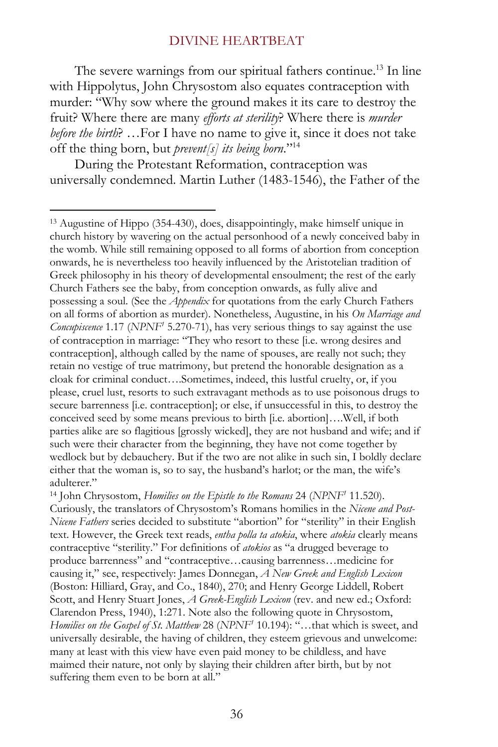The severe warnings from our spiritual fathers continue. <sup>13</sup> In line with Hippolytus, John Chrysostom also equates contraception with murder: "Why sow where the ground makes it its care to destroy the fruit? Where there are many *efforts at sterility*? Where there is *murder before the birth*? …For I have no name to give it, since it does not take off the thing born, but *prevent[s] its being born*."<sup>14</sup>

During the Protestant Reformation, contraception was universally condemned. Martin Luther (1483-1546), the Father of the

<sup>13</sup> Augustine of Hippo (354-430), does, disappointingly, make himself unique in church history by wavering on the actual personhood of a newly conceived baby in the womb. While still remaining opposed to all forms of abortion from conception onwards, he is nevertheless too heavily influenced by the Aristotelian tradition of Greek philosophy in his theory of developmental ensoulment; the rest of the early Church Fathers see the baby, from conception onwards, as fully alive and possessing a soul. (See the *Appendix* for quotations from the early Church Fathers on all forms of abortion as murder). Nonetheless, Augustine, in his *On Marriage and Concupiscence* 1.17 (*NPNF<sup>1</sup>* 5.270-71), has very serious things to say against the use of contraception in marriage: "They who resort to these [i.e. wrong desires and contraception], although called by the name of spouses, are really not such; they retain no vestige of true matrimony, but pretend the honorable designation as a cloak for criminal conduct….Sometimes, indeed, this lustful cruelty, or, if you please, cruel lust, resorts to such extravagant methods as to use poisonous drugs to secure barrenness [i.e. contraception]; or else, if unsuccessful in this, to destroy the conceived seed by some means previous to birth [i.e. abortion]….Well, if both parties alike are so flagitious [grossly wicked], they are not husband and wife; and if such were their character from the beginning, they have not come together by wedlock but by debauchery. But if the two are not alike in such sin, I boldly declare either that the woman is, so to say, the husband's harlot; or the man, the wife's adulterer."

<sup>14</sup> John Chrysostom, *Homilies on the Epistle to the Romans* 24 (*NPNF<sup>1</sup>* 11.520). Curiously, the translators of Chrysostom's Romans homilies in the *Nicene and Post-Nicene Fathers* series decided to substitute "abortion" for "sterility" in their English text. However, the Greek text reads, *entha polla ta atokia*, where *atokia* clearly means contraceptive "sterility." For definitions of *atokios* as "a drugged beverage to produce barrenness" and "contraceptive…causing barrenness…medicine for causing it," see, respectively: James Donnegan, *A New Greek and English Lexicon* (Boston: Hilliard, Gray, and Co., 1840), 270; and Henry George Liddell, Robert Scott, and Henry Stuart Jones, *A Greek-English Lexicon* (rev. and new ed.; Oxford: Clarendon Press, 1940), 1:271. Note also the following quote in Chrysostom, *Homilies on the Gospel of St. Matthew* 28 (*NPNF<sup>1</sup>* 10.194): "…that which is sweet, and universally desirable, the having of children, they esteem grievous and unwelcome: many at least with this view have even paid money to be childless, and have maimed their nature, not only by slaying their children after birth, but by not suffering them even to be born at all."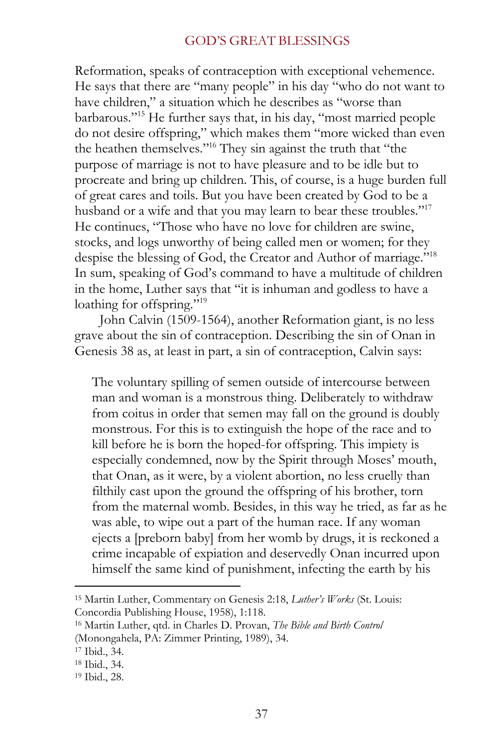Reformation, speaks of contraception with exceptional vehemence. He says that there are "many people" in his day "who do not want to have children," a situation which he describes as "worse than barbarous."<sup>15</sup> He further says that, in his day, "most married people do not desire offspring," which makes them "more wicked than even the heathen themselves."<sup>16</sup> They sin against the truth that "the purpose of marriage is not to have pleasure and to be idle but to procreate and bring up children. This, of course, is a huge burden full of great cares and toils. But you have been created by God to be a husband or a wife and that you may learn to bear these troubles."<sup>17</sup> He continues, "Those who have no love for children are swine, stocks, and logs unworthy of being called men or women; for they despise the blessing of God, the Creator and Author of marriage."<sup>18</sup> In sum, speaking of God's command to have a multitude of children in the home, Luther says that "it is inhuman and godless to have a loathing for offspring."<sup>19</sup>

John Calvin (1509-1564), another Reformation giant, is no less grave about the sin of contraception. Describing the sin of Onan in Genesis 38 as, at least in part, a sin of contraception, Calvin says:

The voluntary spilling of semen outside of intercourse between man and woman is a monstrous thing. Deliberately to withdraw from coitus in order that semen may fall on the ground is doubly monstrous. For this is to extinguish the hope of the race and to kill before he is born the hoped-for offspring. This impiety is especially condemned, now by the Spirit through Moses' mouth, that Onan, as it were, by a violent abortion, no less cruelly than filthily cast upon the ground the offspring of his brother, torn from the maternal womb. Besides, in this way he tried, as far as he was able, to wipe out a part of the human race. If any woman ejects a [preborn baby] from her womb by drugs, it is reckoned a crime incapable of expiation and deservedly Onan incurred upon himself the same kind of punishment, infecting the earth by his

<sup>15</sup> Martin Luther, Commentary on Genesis 2:18, *Luther's Works* (St. Louis: Concordia Publishing House, 1958), 1:118.

<sup>16</sup> Martin Luther, qtd. in Charles D. Provan, *The Bible and Birth Control*

<sup>(</sup>Monongahela, PA: Zimmer Printing, 1989), 34.

<sup>17</sup> Ibid., 34.

<sup>18</sup> Ibid., 34.

<sup>19</sup> Ibid., 28.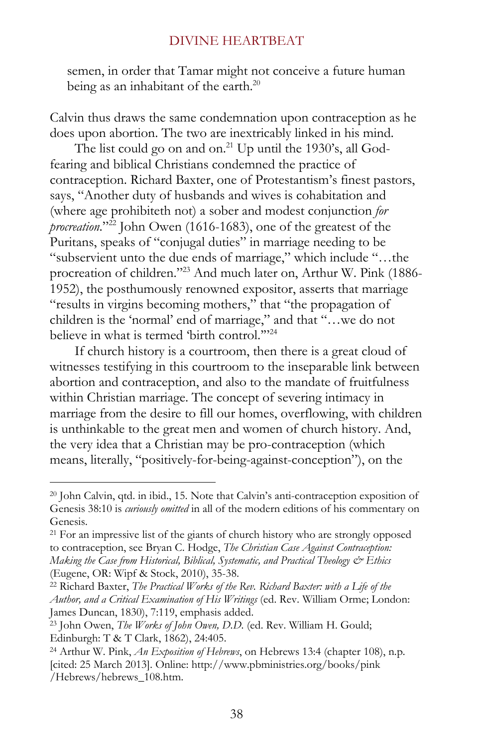semen, in order that Tamar might not conceive a future human being as an inhabitant of the earth.<sup>20</sup>

Calvin thus draws the same condemnation upon contraception as he does upon abortion. The two are inextricably linked in his mind.

The list could go on and on.<sup>21</sup> Up until the 1930's, all Godfearing and biblical Christians condemned the practice of contraception. Richard Baxter, one of Protestantism's finest pastors, says, "Another duty of husbands and wives is cohabitation and (where age prohibiteth not) a sober and modest conjunction *for procreation*."<sup>22</sup> John Owen (1616-1683), one of the greatest of the Puritans, speaks of "conjugal duties" in marriage needing to be "subservient unto the due ends of marriage," which include "…the procreation of children."<sup>23</sup> And much later on, Arthur W. Pink (1886- 1952), the posthumously renowned expositor, asserts that marriage "results in virgins becoming mothers," that "the propagation of children is the 'normal' end of marriage," and that "…we do not believe in what is termed 'birth control."<sup>24</sup>

If church history is a courtroom, then there is a great cloud of witnesses testifying in this courtroom to the inseparable link between abortion and contraception, and also to the mandate of fruitfulness within Christian marriage. The concept of severing intimacy in marriage from the desire to fill our homes, overflowing, with children is unthinkable to the great men and women of church history. And, the very idea that a Christian may be pro-contraception (which means, literally, "positively-for-being-against-conception"), on the

<sup>20</sup> John Calvin, qtd. in ibid., 15. Note that Calvin's anti-contraception exposition of Genesis 38:10 is *curiously omitted* in all of the modern editions of his commentary on Genesis.

<sup>&</sup>lt;sup>21</sup> For an impressive list of the giants of church history who are strongly opposed to contraception, see Bryan C. Hodge, *The Christian Case Against Contraception: Making the Case from Historical, Biblical, Systematic, and Practical Theology & Ethics* (Eugene, OR: Wipf & Stock, 2010), 35-38.

<sup>22</sup> Richard Baxter, *The Practical Works of the Rev. Richard Baxter: with a Life of the Author, and a Critical Examination of His Writings* (ed. Rev. William Orme; London: James Duncan, 1830), 7:119, emphasis added.

<sup>23</sup> John Owen, *The Works of John Owen, D.D.* (ed. Rev. William H. Gould; Edinburgh: T & T Clark, 1862), 24:405.

<sup>24</sup> Arthur W. Pink, *An Exposition of Hebrews*, on Hebrews 13:4 (chapter 108), n.p. [cited: 25 March 2013]. Online: http://www.pbministries.org/books/pink /Hebrews/hebrews\_108.htm.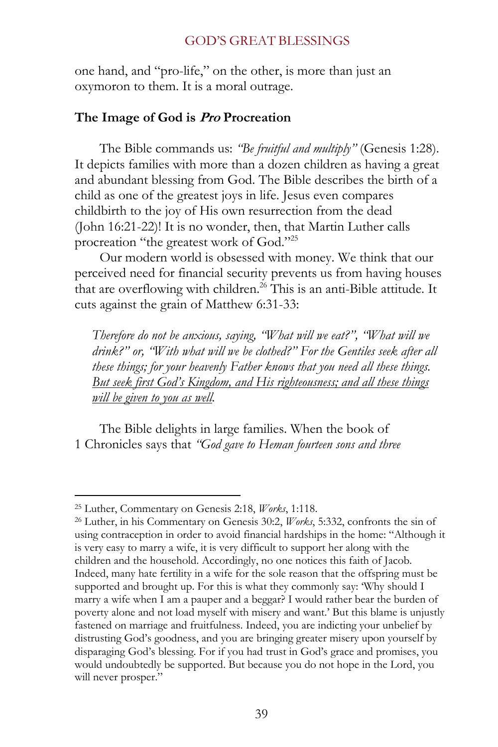one hand, and "pro-life," on the other, is more than just an oxymoron to them. It is a moral outrage.

### **The Image of God is Pro Procreation**

The Bible commands us: *"Be fruitful and multiply"* (Genesis 1:28). It depicts families with more than a dozen children as having a great and abundant blessing from God. The Bible describes the birth of a child as one of the greatest joys in life. Jesus even compares childbirth to the joy of His own resurrection from the dead (John 16:21-22)! It is no wonder, then, that Martin Luther calls procreation "the greatest work of God."<sup>25</sup>

Our modern world is obsessed with money. We think that our perceived need for financial security prevents us from having houses that are overflowing with children.<sup>26</sup> This is an anti-Bible attitude. It cuts against the grain of Matthew 6:31-33:

*Therefore do not be anxious, saying, "What will we eat?", "What will we drink?" or, "With what will we be clothed?" For the Gentiles seek after all these things; for your heavenly Father knows that you need all these things. But seek first God's Kingdom, and His righteousness; and all these things will be given to you as well.* 

The Bible delights in large families. When the book of 1 Chronicles says that *"God gave to Heman fourteen sons and three* 

<sup>25</sup> Luther, Commentary on Genesis 2:18, *Works*, 1:118.

<sup>26</sup> Luther, in his Commentary on Genesis 30:2, *Works*, 5:332, confronts the sin of using contraception in order to avoid financial hardships in the home: "Although it is very easy to marry a wife, it is very difficult to support her along with the children and the household. Accordingly, no one notices this faith of Jacob. Indeed, many hate fertility in a wife for the sole reason that the offspring must be supported and brought up. For this is what they commonly say: 'Why should I marry a wife when I am a pauper and a beggar? I would rather bear the burden of poverty alone and not load myself with misery and want.' But this blame is unjustly fastened on marriage and fruitfulness. Indeed, you are indicting your unbelief by distrusting God's goodness, and you are bringing greater misery upon yourself by disparaging God's blessing. For if you had trust in God's grace and promises, you would undoubtedly be supported. But because you do not hope in the Lord, you will never prosper."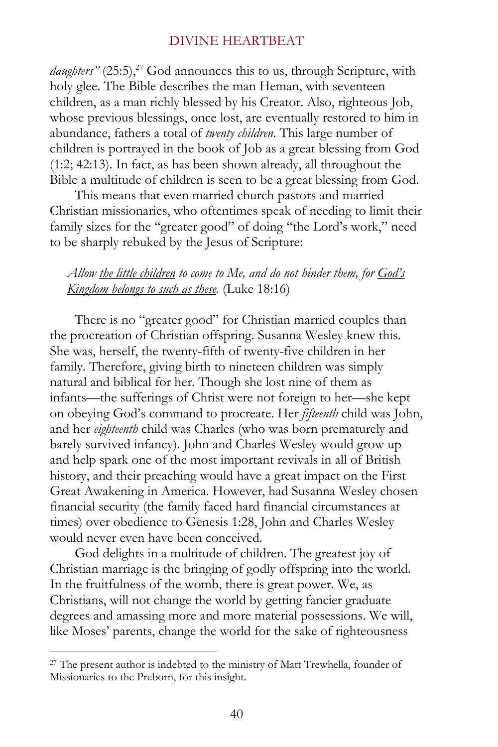*daughters"* (25:5),<sup>27</sup> God announces this to us, through Scripture, with holy glee. The Bible describes the man Heman, with seventeen children, as a man richly blessed by his Creator. Also, righteous Job, whose previous blessings, once lost, are eventually restored to him in abundance, fathers a total of *twenty children*. This large number of children is portrayed in the book of Job as a great blessing from God (1:2; 42:13). In fact, as has been shown already, all throughout the Bible a multitude of children is seen to be a great blessing from God.

This means that even married church pastors and married Christian missionaries, who oftentimes speak of needing to limit their family sizes for the "greater good" of doing "the Lord's work," need to be sharply rebuked by the Jesus of Scripture:

### *Allow the little children to come to Me, and do not hinder them, for God's Kingdom belongs to such as these.* (Luke 18:16)

There is no "greater good" for Christian married couples than the procreation of Christian offspring. Susanna Wesley knew this. She was, herself, the twenty-fifth of twenty-five children in her family. Therefore, giving birth to nineteen children was simply natural and biblical for her. Though she lost nine of them as infants—the sufferings of Christ were not foreign to her—she kept on obeying God's command to procreate. Her *fifteenth* child was John, and her *eighteenth* child was Charles (who was born prematurely and barely survived infancy). John and Charles Wesley would grow up and help spark one of the most important revivals in all of British history, and their preaching would have a great impact on the First Great Awakening in America. However, had Susanna Wesley chosen financial security (the family faced hard financial circumstances at times) over obedience to Genesis 1:28, John and Charles Wesley would never even have been conceived.

God delights in a multitude of children. The greatest joy of Christian marriage is the bringing of godly offspring into the world. In the fruitfulness of the womb, there is great power. We, as Christians, will not change the world by getting fancier graduate degrees and amassing more and more material possessions. We will, like Moses' parents, change the world for the sake of righteousness

<sup>&</sup>lt;sup>27</sup> The present author is indebted to the ministry of Matt Trewhella, founder of Missionaries to the Preborn, for this insight.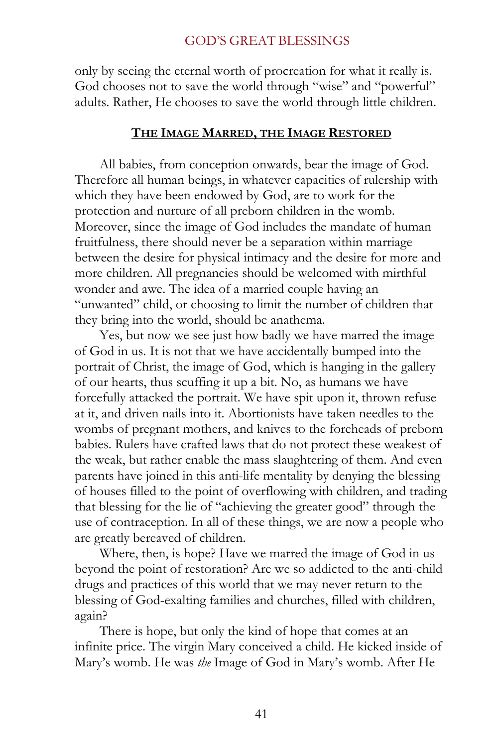only by seeing the eternal worth of procreation for what it really is. God chooses not to save the world through "wise" and "powerful" adults. Rather, He chooses to save the world through little children.

### **THE IMAGE MARRED, THE IMAGE RESTORED**

All babies, from conception onwards, bear the image of God. Therefore all human beings, in whatever capacities of rulership with which they have been endowed by God, are to work for the protection and nurture of all preborn children in the womb. Moreover, since the image of God includes the mandate of human fruitfulness, there should never be a separation within marriage between the desire for physical intimacy and the desire for more and more children. All pregnancies should be welcomed with mirthful wonder and awe. The idea of a married couple having an "unwanted" child, or choosing to limit the number of children that they bring into the world, should be anathema.

Yes, but now we see just how badly we have marred the image of God in us. It is not that we have accidentally bumped into the portrait of Christ, the image of God, which is hanging in the gallery of our hearts, thus scuffing it up a bit. No, as humans we have forcefully attacked the portrait. We have spit upon it, thrown refuse at it, and driven nails into it. Abortionists have taken needles to the wombs of pregnant mothers, and knives to the foreheads of preborn babies. Rulers have crafted laws that do not protect these weakest of the weak, but rather enable the mass slaughtering of them. And even parents have joined in this anti-life mentality by denying the blessing of houses filled to the point of overflowing with children, and trading that blessing for the lie of "achieving the greater good" through the use of contraception. In all of these things, we are now a people who are greatly bereaved of children.

Where, then, is hope? Have we marred the image of God in us beyond the point of restoration? Are we so addicted to the anti-child drugs and practices of this world that we may never return to the blessing of God-exalting families and churches, filled with children, again?

There is hope, but only the kind of hope that comes at an infinite price. The virgin Mary conceived a child. He kicked inside of Mary's womb. He was *the* Image of God in Mary's womb. After He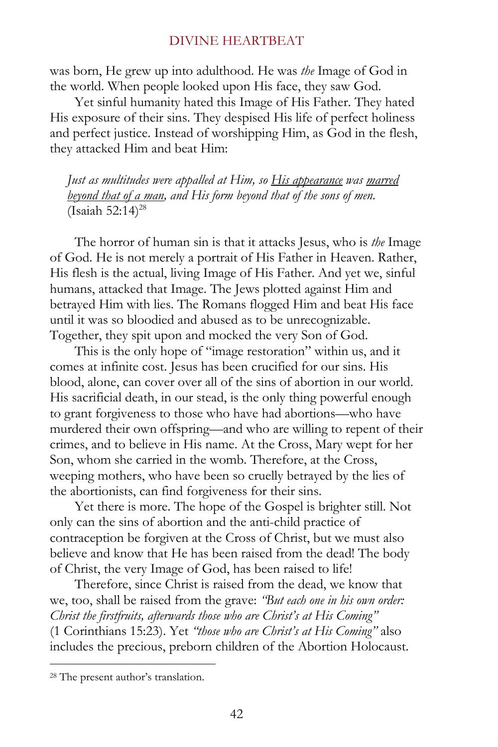was born, He grew up into adulthood. He was *the* Image of God in the world. When people looked upon His face, they saw God.

Yet sinful humanity hated this Image of His Father. They hated His exposure of their sins. They despised His life of perfect holiness and perfect justice. Instead of worshipping Him, as God in the flesh, they attacked Him and beat Him:

*Just as multitudes were appalled at Him, so His appearance was marred beyond that of a man, and His form beyond that of the sons of men.* (Isaiah 52:14)<sup>28</sup>

The horror of human sin is that it attacks Jesus, who is *the* Image of God. He is not merely a portrait of His Father in Heaven. Rather, His flesh is the actual, living Image of His Father. And yet we, sinful humans, attacked that Image. The Jews plotted against Him and betrayed Him with lies. The Romans flogged Him and beat His face until it was so bloodied and abused as to be unrecognizable. Together, they spit upon and mocked the very Son of God.

This is the only hope of "image restoration" within us, and it comes at infinite cost. Jesus has been crucified for our sins. His blood, alone, can cover over all of the sins of abortion in our world. His sacrificial death, in our stead, is the only thing powerful enough to grant forgiveness to those who have had abortions—who have murdered their own offspring—and who are willing to repent of their crimes, and to believe in His name. At the Cross, Mary wept for her Son, whom she carried in the womb. Therefore, at the Cross, weeping mothers, who have been so cruelly betrayed by the lies of the abortionists, can find forgiveness for their sins.

Yet there is more. The hope of the Gospel is brighter still. Not only can the sins of abortion and the anti-child practice of contraception be forgiven at the Cross of Christ, but we must also believe and know that He has been raised from the dead! The body of Christ, the very Image of God, has been raised to life!

Therefore, since Christ is raised from the dead, we know that we, too, shall be raised from the grave: *"But each one in his own order: Christ the firstfruits, afterwards those who are Christ's at His Coming"*  (1 Corinthians 15:23). Yet *"those who are Christ's at His Coming"* also includes the precious, preborn children of the Abortion Holocaust.

<sup>28</sup> The present author's translation.